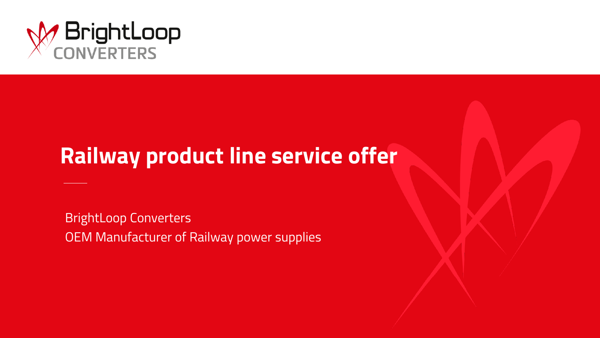

# **Railway product line service offer**

BrightLoop Converters OEM Manufacturer of Railway power supplies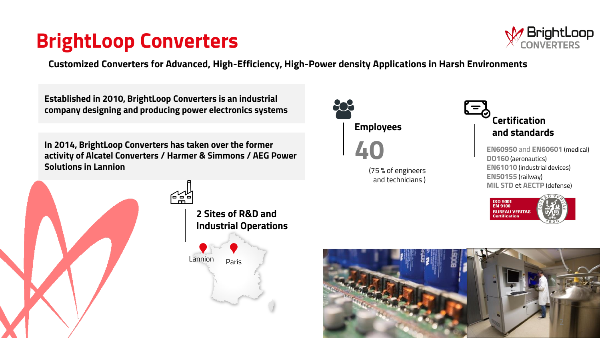## **BrightLoop Converters**



**Customized Converters for Advanced, High-Efficiency, High-Power density Applications in Harsh Environments**

**Established in 2010, BrightLoop Converters is an industrial company designing and producing power electronics systems**

**In 2014, BrightLoop Converters has taken over the former activity of Alcatel Converters / Harmer & Simmons / AEG Power Solutions in Lannion**





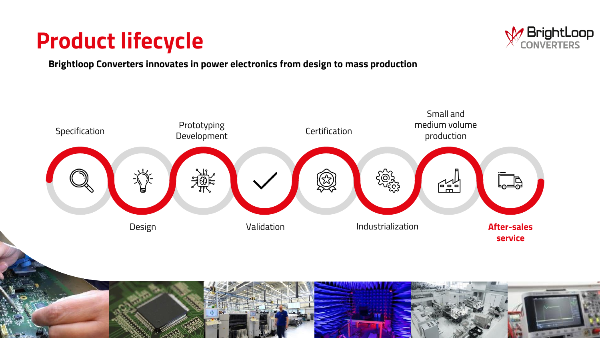# **Product lifecycle**



**Brightloop Converters innovates in power electronics from design to mass production**

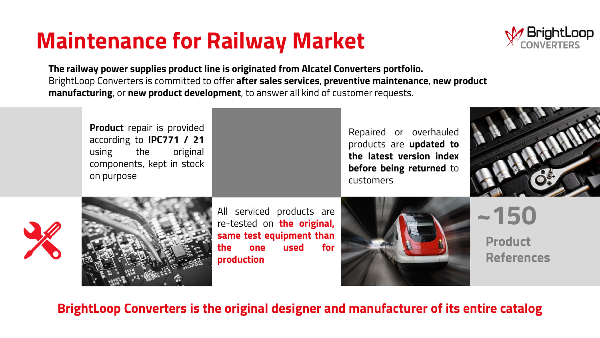# **Maintenance for Railway Market**



**The railway power supplies product line is originated from Alcatel Converters portfolio.** BrightLoop Converters is committed to offer **after sales services**, **preventive maintenance**, **new product manufacturing**, or **new product development**, to answer all kind of customer requests.



## **BrightLoop Converters is the original designer and manufacturer of its entire catalog**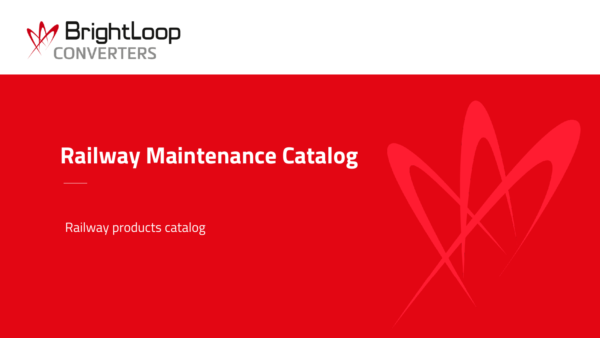

## **Railway Maintenance Catalog**

Railway products catalog

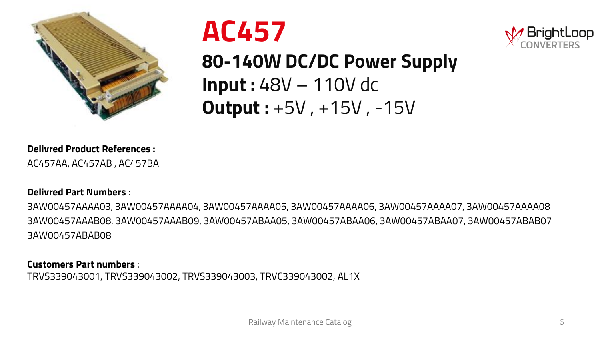





**80-140W DC/DC Power Supply Input :** 48V – 110V dc **Output :** +5V , +15V , -15V

**Delivred Product References :** 

AC457AA, AC457AB , AC457BA

### **Delivred Part Numbers** :

3AW00457AAAA03, 3AW00457AAAA04, 3AW00457AAAA05, 3AW00457AAAA06, 3AW00457AAAA07, 3AW00457AAAA08 3AW00457AAAB08, 3AW00457AAAB09, 3AW00457ABAA05, 3AW00457ABAA06, 3AW00457ABAA07, 3AW00457ABAB07 3AW00457ABAB08

#### **Customers Part numbers** :

TRVS339043001, TRVS339043002, TRVS339043003, TRVC339043002, AL1X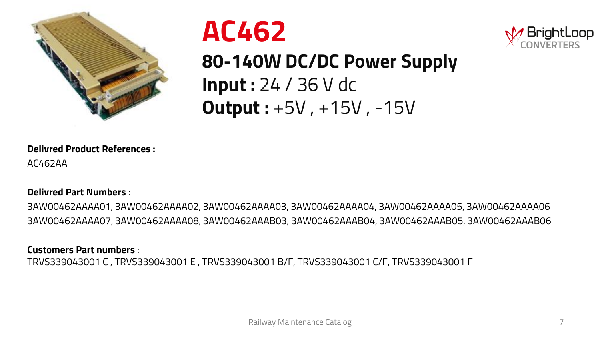





**80-140W DC/DC Power Supply Input :** 24 / 36 V dc **Output :** +5V , +15V , -15V

### **Delivred Product References :**

AC462AA

### **Delivred Part Numbers** :

3AW00462AAAA01, 3AW00462AAAA02, 3AW00462AAAA03, 3AW00462AAAA04, 3AW00462AAAA05, 3AW00462AAAA06 3AW00462AAAA07, 3AW00462AAAA08, 3AW00462AAAB03, 3AW00462AAAB04, 3AW00462AAAB05, 3AW00462AAAB06

### **Customers Part numbers** :

TRVS339043001 C , TRVS339043001 E , TRVS339043001 B/F, TRVS339043001 C/F, TRVS339043001 F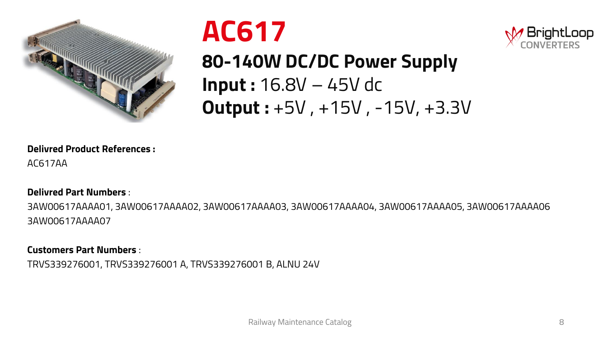





**80-140W DC/DC Power Supply Input :** 16.8V – 45V dc **Output :** +5V , +15V , -15V, +3.3V

**Delivred Product References :** 

AC617AA

### **Delivred Part Numbers** :

3AW00617AAAA01, 3AW00617AAAA02, 3AW00617AAAA03, 3AW00617AAAA04, 3AW00617AAAA05, 3AW00617AAAA06 3AW00617AAAA07

**Customers Part Numbers** :

TRVS339276001, TRVS339276001 A, TRVS339276001 B, ALNU 24V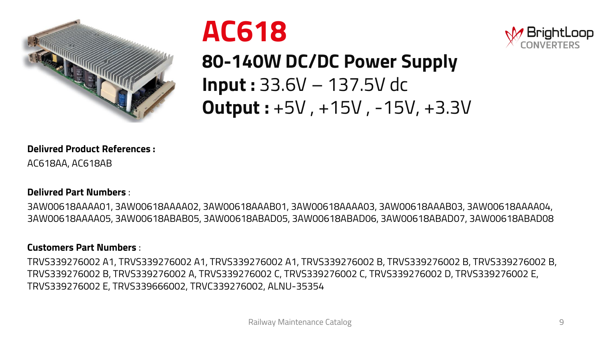





**80-140W DC/DC Power Supply Input :** 33.6V – 137.5V dc **Output :** +5V , +15V , -15V, +3.3V

**Delivred Product References :** 

AC618AA, AC618AB

### **Delivred Part Numbers** :

3AW00618AAAA01, 3AW00618AAAA02, 3AW00618AAAB01, 3AW00618AAAA03, 3AW00618AAAB03, 3AW00618AAAA04, 3AW00618AAAA05, 3AW00618ABAB05, 3AW00618ABAD05, 3AW00618ABAD06, 3AW00618ABAD07, 3AW00618ABAD08

### **Customers Part Numbers** :

TRVS339276002 A1, TRVS339276002 A1, TRVS339276002 A1, TRVS339276002 B, TRVS339276002 B, TRVS339276002 B, TRVS339276002 B, TRVS339276002 A, TRVS339276002 C, TRVS339276002 C, TRVS339276002 D, TRVS339276002 E, TRVS339276002 E, TRVS339666002, TRVC339276002, ALNU-35354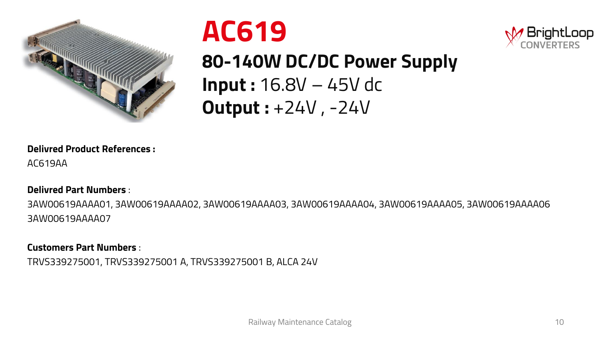





**80-140W DC/DC Power Supply Input :** 16.8V – 45V dc **Output :** +24V , -24V

**Delivred Product References :** 

AC619AA

### **Delivred Part Numbers** :

3AW00619AAAA01, 3AW00619AAAA02, 3AW00619AAAA03, 3AW00619AAAA04, 3AW00619AAAA05, 3AW00619AAAA06 3AW00619AAAA07

### **Customers Part Numbers** :

TRVS339275001, TRVS339275001 A, TRVS339275001 B, ALCA 24V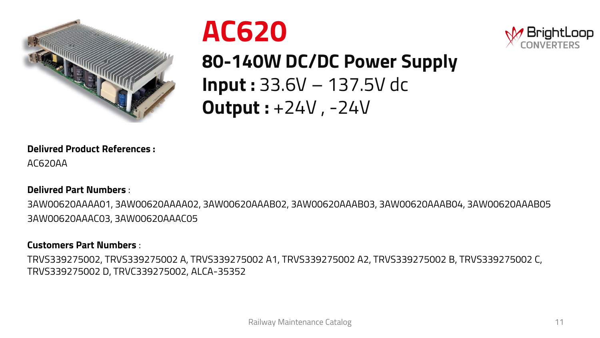





**80-140W DC/DC Power Supply Input :** 33.6V – 137.5V dc **Output :** +24V , -24V

### **Delivred Product References :**

AC620AA

### **Delivred Part Numbers** :

3AW00620AAAA01, 3AW00620AAAA02, 3AW00620AAAB02, 3AW00620AAAB03, 3AW00620AAAB04, 3AW00620AAAB05 3AW00620AAAC03, 3AW00620AAAC05

### **Customers Part Numbers** :

TRVS339275002, TRVS339275002 A, TRVS339275002 A1, TRVS339275002 A2, TRVS339275002 B, TRVS339275002 C, TRVS339275002 D, TRVC339275002, ALCA-35352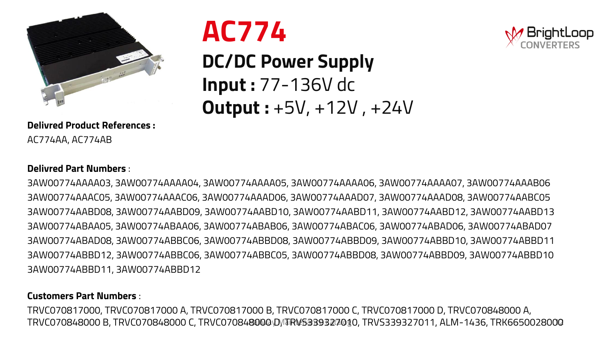

## **Delivred Product References :**  AC774AA, AC774AB



## **DC/DC Power Supply Input :** 77-136V dc **Output :** +5V, +12V , +24V



### **Delivred Part Numbers** :

3AW00774AAAA03, 3AW00774AAAA04, 3AW00774AAAA05, 3AW00774AAAA06, 3AW00774AAAA07, 3AW00774AAAB06 3AW00774AAAC05, 3AW00774AAAC06, 3AW00774AAAD06, 3AW00774AAAD07, 3AW00774AAAD08, 3AW00774AABC05 3AW00774AABD08, 3AW00774AABD09, 3AW00774AABD10, 3AW00774AABD11, 3AW00774AABD12, 3AW00774AABD13 3AW00774ABAA05, 3AW00774ABAA06, 3AW00774ABAB06, 3AW00774ABAC06, 3AW00774ABAD06, 3AW00774ABAD07 3AW00774ABAD08, 3AW00774ABBC06, 3AW00774ABBD08, 3AW00774ABBD09, 3AW00774ABBD10, 3AW00774ABBD11 3AW00774ABBD12, 3AW00774ABBC06, 3AW00774ABBC05, 3AW00774ABBD08, 3AW00774ABBD09, 3AW00774ABBD10 3AW00774ABBD11, 3AW00774ABBD12

### **Customers Part Numbers** :

TRVC070848000 B, TRVC070848000 C, TRVC070848000\D\/TRVS33932700\$0, TRVS339327011, ALM-1436, TRK6650028000 TRVC070817000, TRVC070817000 A, TRVC070817000 B, TRVC070817000 C, TRVC070817000 D, TRVC070848000 A,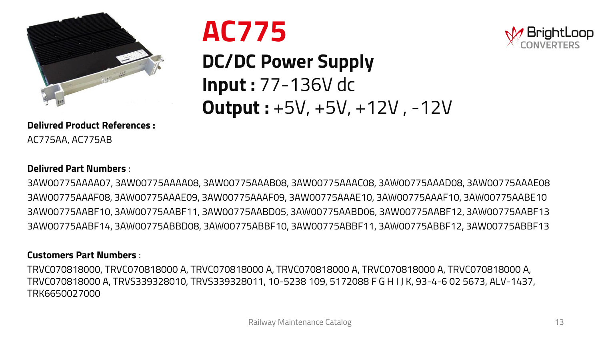

## **Delivred Product References :**  AC775AA, AC775AB

# **AC775**

## **DC/DC Power Supply Input :** 77-136V dc **Output :** +5V, +5V, +12V , -12V



3AW00775AAAA07, 3AW00775AAAA08, 3AW00775AAAB08, 3AW00775AAAC08, 3AW00775AAAD08, 3AW00775AAAE08 3AW00775AAAF08, 3AW00775AAAE09, 3AW00775AAAF09, 3AW00775AAAE10, 3AW00775AAAF10, 3AW00775AABE10 3AW00775AABF10, 3AW00775AABF11, 3AW00775AABD05, 3AW00775AABD06, 3AW00775AABF12, 3AW00775AABF13 3AW00775AABF14, 3AW00775ABBD08, 3AW00775ABBF10, 3AW00775ABBF11, 3AW00775ABBF12, 3AW00775ABBF13

#### **Customers Part Numbers** :

TRVC070818000, TRVC070818000 A, TRVC070818000 A, TRVC070818000 A, TRVC070818000 A, TRVC070818000 A, TRVC070818000 A, TRVS339328010, TRVS339328011, 10-5238 109, 5172088 F G H I J K, 93-4-6 02 5673, ALV-1437, TRK6650027000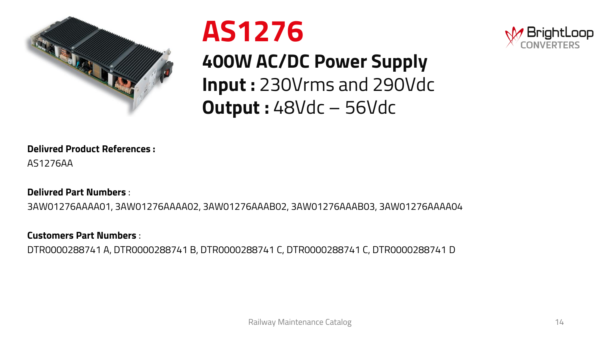





**400W AC/DC Power Supply Input :** 230Vrms and 290Vdc **Output :** 48Vdc – 56Vdc

### **Delivred Product References :**

AS1276AA

### **Delivred Part Numbers** :

3AW01276AAAA01, 3AW01276AAAA02, 3AW01276AAAB02, 3AW01276AAAB03, 3AW01276AAAA04

### **Customers Part Numbers** :

DTR0000288741 A, DTR0000288741 B, DTR0000288741 C, DTR0000288741 C, DTR0000288741 D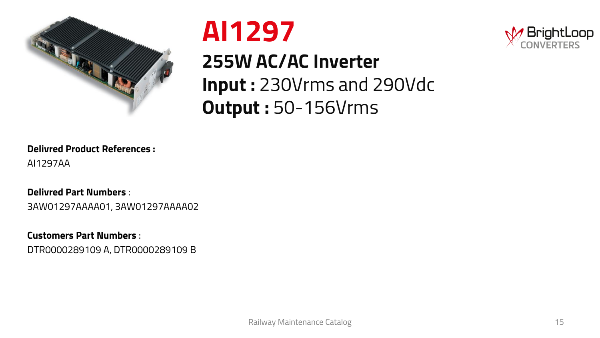







## **Delivred Product References :**

AI1297AA

### **Delivred Part Numbers** :

3AW01297AAAA01, 3AW01297AAAA02

**Customers Part Numbers** :

DTR0000289109 A, DTR0000289109 B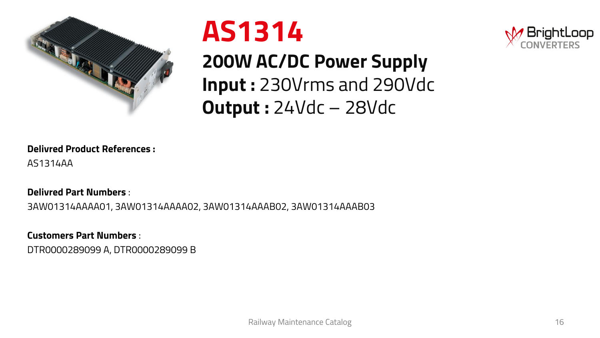





**200W AC/DC Power Supply Input :** 230Vrms and 290Vdc **Output :** 24Vdc – 28Vdc

### **Delivred Product References :**

AS1314AA

### **Delivred Part Numbers** :

3AW01314AAAA01, 3AW01314AAAA02, 3AW01314AAAB02, 3AW01314AAAB03

**Customers Part Numbers** :

DTR0000289099 A, DTR0000289099 B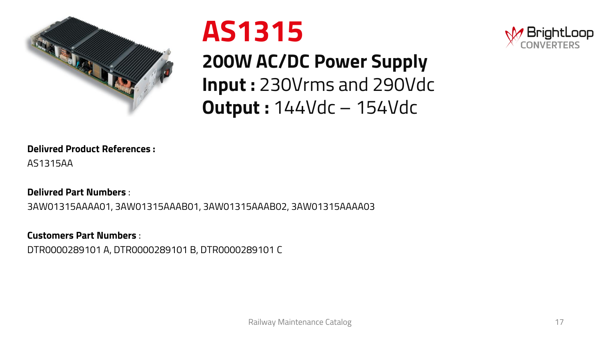



**200W AC/DC Power Supply Input :** 230Vrms and 290Vdc **Output :** 144Vdc – 154Vdc



AS1315AA

### **Delivred Part Numbers** :

3AW01315AAAA01, 3AW01315AAAB01, 3AW01315AAAB02, 3AW01315AAAA03

**Customers Part Numbers** :

DTR0000289101 A, DTR0000289101 B, DTR0000289101 C

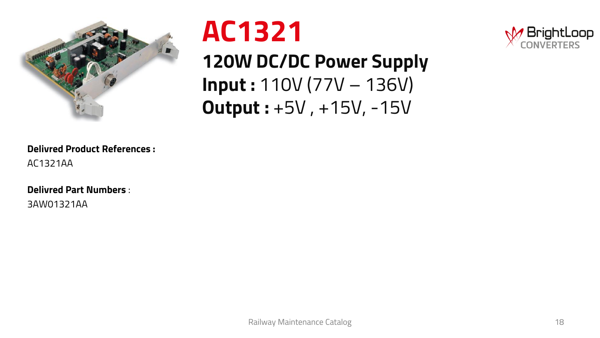



**120W DC/DC Power Supply Input :** 110V (77V – 136V) **Output :** +5V , +15V, -15V



### **Delivred Product References :**  AC1321AA

### **Delivred Part Numbers** :

3AW01321AA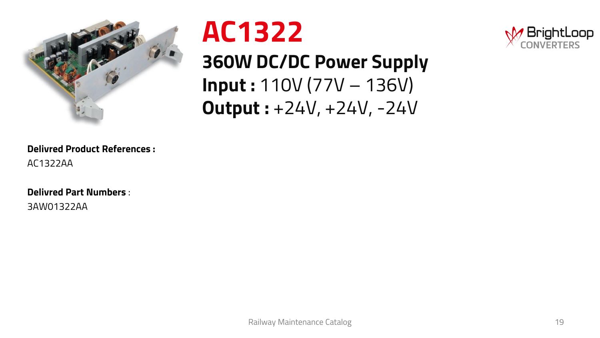



**360W DC/DC Power Supply Input :** 110V (77V – 136V) **Output :** +24V, +24V, -24V



### **Delivred Product References :**  AC1322AA

### **Delivred Part Numbers** :

3AW01322AA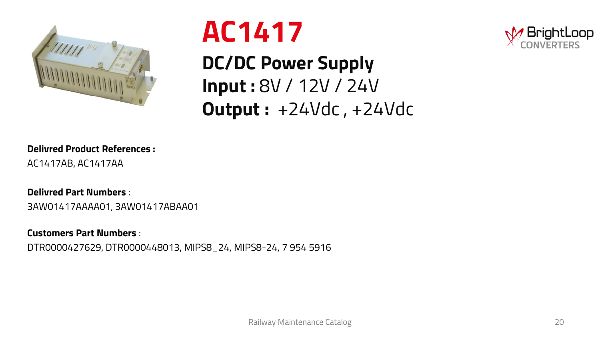

# **AC1417**

**DC/DC Power Supply Input :** 8V / 12V / 24V **Output :** +24Vdc , +24Vdc



## **Delivred Product References :**

AC1417AB, AC1417AA

### **Delivred Part Numbers** :

3AW01417AAAA01, 3AW01417ABAA01

### **Customers Part Numbers** :

DTR0000427629, DTR0000448013, MIPS8\_24, MIPS8-24, 7 954 5916